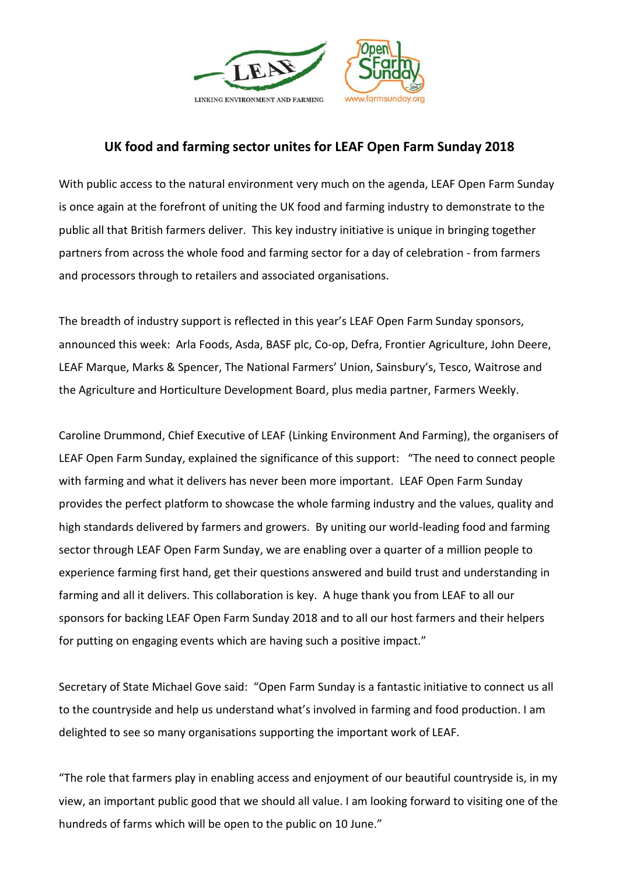

## **UK food and farming sector unites for LEAF Open Farm Sunday 2018**

With public access to the natural environment very much on the agenda, LEAF Open Farm Sunday is once again at the forefront of uniting the UK food and farming industry to demonstrate to the public all that British farmers deliver. This key industry initiative is unique in bringing together partners from across the whole food and farming sector for a day of celebration - from farmers and processors through to retailers and associated organisations.

The breadth of industry support is reflected in this year's LEAF Open Farm Sunday sponsors, announced this week: Arla Foods, Asda, BASF plc, Co-op, Defra, Frontier Agriculture, John Deere, LEAF Marque, Marks & Spencer, The National Farmers' Union, Sainsbury's, Tesco, Waitrose and the Agriculture and Horticulture Development Board, plus media partner, Farmers Weekly.

Caroline Drummond, Chief Executive of LEAF (Linking Environment And Farming), the organisers of LEAF Open Farm Sunday, explained the significance of this support: "The need to connect people with farming and what it delivers has never been more important. LEAF Open Farm Sunday provides the perfect platform to showcase the whole farming industry and the values, quality and high standards delivered by farmers and growers. By uniting our world-leading food and farming sector through LEAF Open Farm Sunday, we are enabling over a quarter of a million people to experience farming first hand, get their questions answered and build trust and understanding in farming and all it delivers. This collaboration is key. A huge thank you from LEAF to all our sponsors for backing LEAF Open Farm Sunday 2018 and to all our host farmers and their helpers for putting on engaging events which are having such a positive impact."

Secretary of State Michael Gove said: "Open Farm Sunday is a fantastic initiative to connect us all to the countryside and help us understand what's involved in farming and food production. I am delighted to see so many organisations supporting the important work of LEAF.

"The role that farmers play in enabling access and enjoyment of our beautiful countryside is, in my view, an important public good that we should all value. I am looking forward to visiting one of the hundreds of farms which will be open to the public on 10 June."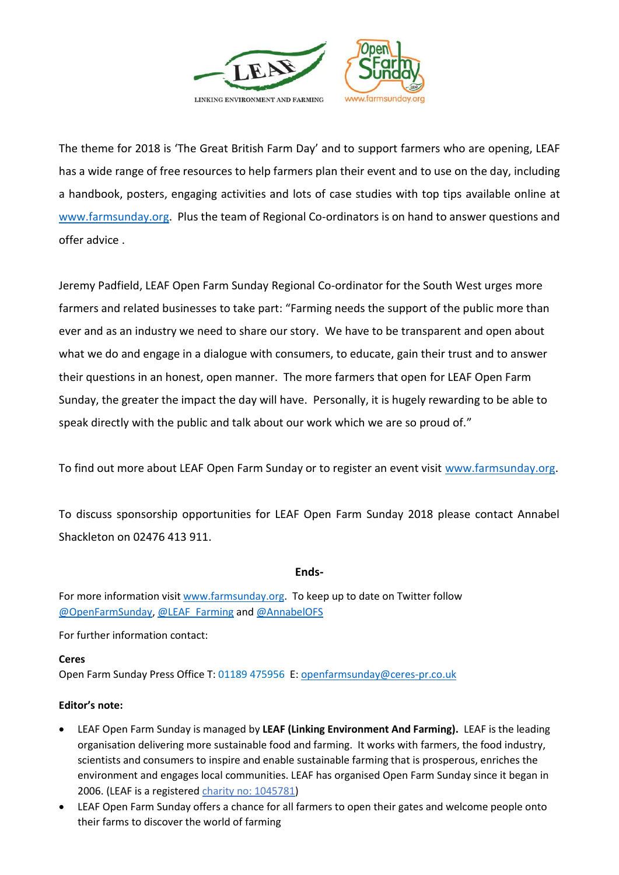

The theme for 2018 is 'The Great British Farm Day' and to support farmers who are opening, LEAF has a wide range of free resources to help farmers plan their event and to use on the day, including a handbook, posters, engaging activities and lots of case studies with top tips available online at [www.farmsunday.org.](http://www.farmsunday.org/) Plus the team of Regional Co-ordinators is on hand to answer questions and offer advice .

Jeremy Padfield, LEAF Open Farm Sunday Regional Co-ordinator for the South West urges more farmers and related businesses to take part: "Farming needs the support of the public more than ever and as an industry we need to share our story. We have to be transparent and open about what we do and engage in a dialogue with consumers, to educate, gain their trust and to answer their questions in an honest, open manner. The more farmers that open for LEAF Open Farm Sunday, the greater the impact the day will have. Personally, it is hugely rewarding to be able to speak directly with the public and talk about our work which we are so proud of."

To find out more about LEAF Open Farm Sunday or to register an event visit [www.farmsunday.org.](http://www.farmsunday.org/)

To discuss sponsorship opportunities for LEAF Open Farm Sunday 2018 please contact Annabel Shackleton on 02476 413 911.

## **Ends-**

For more information visit [www.farmsunday.org.](http://www.farmsunday.org/) To keep up to date on Twitter follow [@OpenFarmSunday,](http://www.twitter.com/OpenFarmSunday) [@LEAF\\_Farming](http://www.twitter.com/LEAF_Farming) an[d @AnnabelOFS](http://www.twitter.com/AnnabelOFS) 

For further information contact:

## **Ceres**

Open Farm Sunday Press Office T: 01189 475956 E[: openfarmsunday@ceres-pr.co.uk](mailto:openfarmsunday@ceres-pr.co.uk)

## **Editor's note:**

- LEAF Open Farm Sunday is managed by **LEAF (Linking Environment And Farming).** LEAF is the leading organisation delivering more sustainable food and farming. It works with farmers, the food industry, scientists and consumers to inspire and enable sustainable farming that is prosperous, enriches the environment and engages local communities. LEAF has organised Open Farm Sunday since it began in 2006. (LEAF is a registered charity no: 1045781)
- LEAF Open Farm Sunday offers a chance for all farmers to open their gates and welcome people onto their farms to discover the world of farming